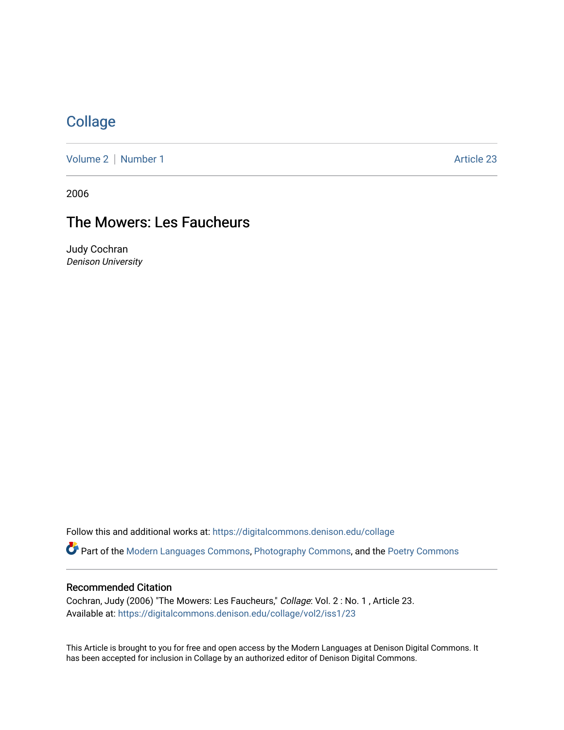## **[Collage](https://digitalcommons.denison.edu/collage)**

[Volume 2](https://digitalcommons.denison.edu/collage/vol2) | [Number 1](https://digitalcommons.denison.edu/collage/vol2/iss1) Article 23

2006

# The Mowers: Les Faucheurs

Judy Cochran Denison University

Follow this and additional works at: [https://digitalcommons.denison.edu/collage](https://digitalcommons.denison.edu/collage?utm_source=digitalcommons.denison.edu%2Fcollage%2Fvol2%2Fiss1%2F23&utm_medium=PDF&utm_campaign=PDFCoverPages)  Part of the [Modern Languages Commons,](http://network.bepress.com/hgg/discipline/1130?utm_source=digitalcommons.denison.edu%2Fcollage%2Fvol2%2Fiss1%2F23&utm_medium=PDF&utm_campaign=PDFCoverPages) [Photography Commons](http://network.bepress.com/hgg/discipline/1142?utm_source=digitalcommons.denison.edu%2Fcollage%2Fvol2%2Fiss1%2F23&utm_medium=PDF&utm_campaign=PDFCoverPages), and the [Poetry Commons](http://network.bepress.com/hgg/discipline/1153?utm_source=digitalcommons.denison.edu%2Fcollage%2Fvol2%2Fiss1%2F23&utm_medium=PDF&utm_campaign=PDFCoverPages)

### Recommended Citation

Cochran, Judy (2006) "The Mowers: Les Faucheurs," Collage: Vol. 2 : No. 1 , Article 23. Available at: [https://digitalcommons.denison.edu/collage/vol2/iss1/23](https://digitalcommons.denison.edu/collage/vol2/iss1/23?utm_source=digitalcommons.denison.edu%2Fcollage%2Fvol2%2Fiss1%2F23&utm_medium=PDF&utm_campaign=PDFCoverPages)

This Article is brought to you for free and open access by the Modern Languages at Denison Digital Commons. It has been accepted for inclusion in Collage by an authorized editor of Denison Digital Commons.